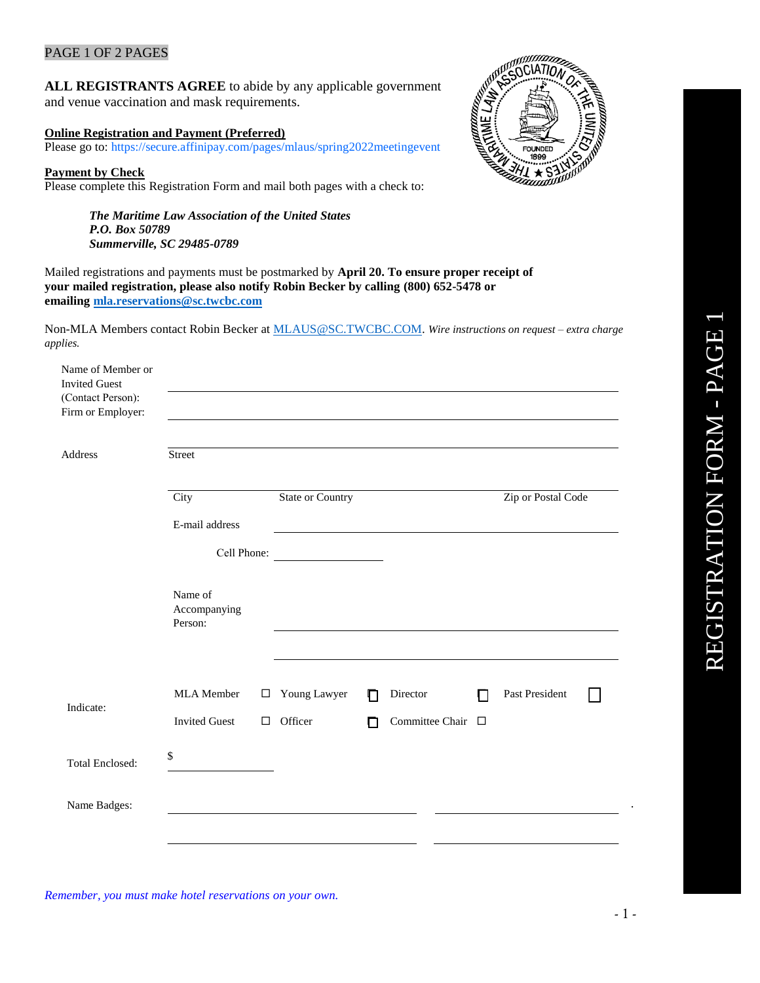### PAGE 1 OF 2 PAGES

**ALL REGISTRANTS AGREE** to abide by any applicable government and venue vaccination and mask requirements.

#### **Online Registration and Payment (Preferred)**

Please go to: https://secure.affinipay.com/pages/mlaus/spring2022meetingevent

#### **Payment by Check**

Please complete this Registration Form and mail both pages with a check to:

*The Maritime Law Association of the United States P.O. Box 50789 Summerville, SC 29485-0789* 



Mailed registrations and payments must be postmarked by **April 20. To ensure proper receipt of your mailed registration, please also notify Robin Becker by calling (800) 652-5478 or emailing [mla.reservations@sc.twcbc.com](mailto:mla.reservations@sc.twcbc.com)**

Non-MLA Members contact Robin Becker at [MLAUS@SC.TWCBC.COM.](mailto:MLAUS@SC.TWCBC.COM) *Wire instructions on request – extra charge applies.*

| Name of Member or<br><b>Invited Guest</b><br>(Contact Person):<br>Firm or Employer: |                                    |                  |                         |        |                               |              |                    |  |
|-------------------------------------------------------------------------------------|------------------------------------|------------------|-------------------------|--------|-------------------------------|--------------|--------------------|--|
| Address                                                                             | Street                             |                  |                         |        |                               |              |                    |  |
|                                                                                     | City                               |                  | State or Country        |        |                               |              | Zip or Postal Code |  |
|                                                                                     | E-mail address                     |                  |                         |        |                               |              |                    |  |
|                                                                                     | Cell Phone:                        |                  |                         |        |                               |              |                    |  |
|                                                                                     | Name of<br>Accompanying<br>Person: |                  |                         |        |                               |              |                    |  |
| Indicate:                                                                           | MLA Member<br><b>Invited Guest</b> | $\Box$<br>$\Box$ | Young Lawyer<br>Officer | П<br>г | Director<br>Committee Chair □ | $\mathsf{L}$ | Past President     |  |
| <b>Total Enclosed:</b>                                                              | \$                                 |                  |                         |        |                               |              |                    |  |
| Name Badges:                                                                        |                                    |                  |                         |        |                               |              |                    |  |

*Remember, you must make hotel reservations on your own.* 

.